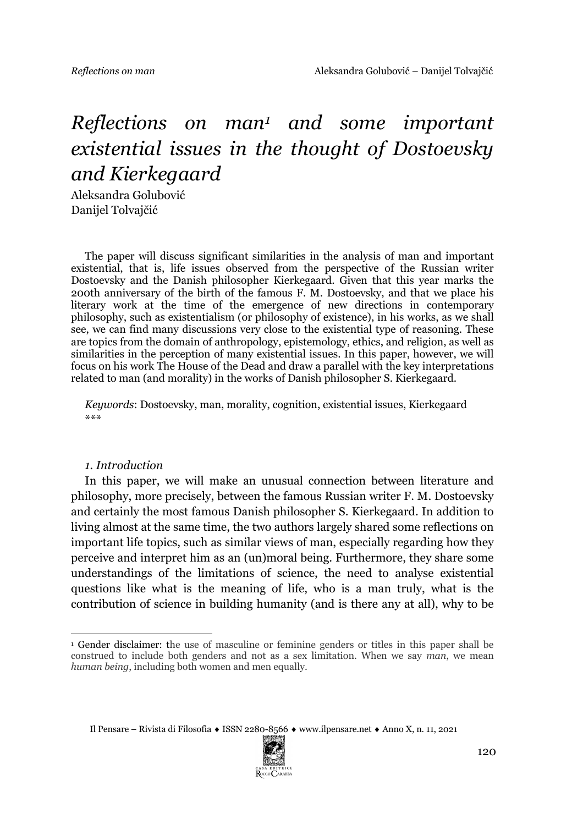# *Reflections on man1 and some important existential issues in the thought of Dostoevsky and Kierkegaard*

Aleksandra Golubović Danijel Tolvajčić

The paper will discuss significant similarities in the analysis of man and important existential, that is, life issues observed from the perspective of the Russian writer Dostoevsky and the Danish philosopher Kierkegaard. Given that this year marks the 200th anniversary of the birth of the famous F. M. Dostoevsky, and that we place his literary work at the time of the emergence of new directions in contemporary philosophy, such as existentialism (or philosophy of existence), in his works, as we shall see, we can find many discussions very close to the existential type of reasoning. These are topics from the domain of anthropology, epistemology, ethics, and religion, as well as similarities in the perception of many existential issues. In this paper, however, we will focus on his work The House of the Dead and draw a parallel with the key interpretations related to man (and morality) in the works of Danish philosopher S. Kierkegaard.

*Keywords*: Dostoevsky, man, morality, cognition, existential issues, Kierkegaard \*\*\*

#### *1. Introduction*

In this paper, we will make an unusual connection between literature and philosophy, more precisely, between the famous Russian writer F. M. Dostoevsky and certainly the most famous Danish philosopher S. Kierkegaard. In addition to living almost at the same time, the two authors largely shared some reflections on important life topics, such as similar views of man, especially regarding how they perceive and interpret him as an (un)moral being. Furthermore, they share some understandings of the limitations of science, the need to analyse existential questions like what is the meaning of life, who is a man truly, what is the contribution of science in building humanity (and is there any at all), why to be



<sup>1</sup> Gender disclaimer: the use of masculine or feminine genders or titles in this paper shall be construed to include both genders and not as a sex limitation. When we say *man*, we mean *human being*, including both women and men equally.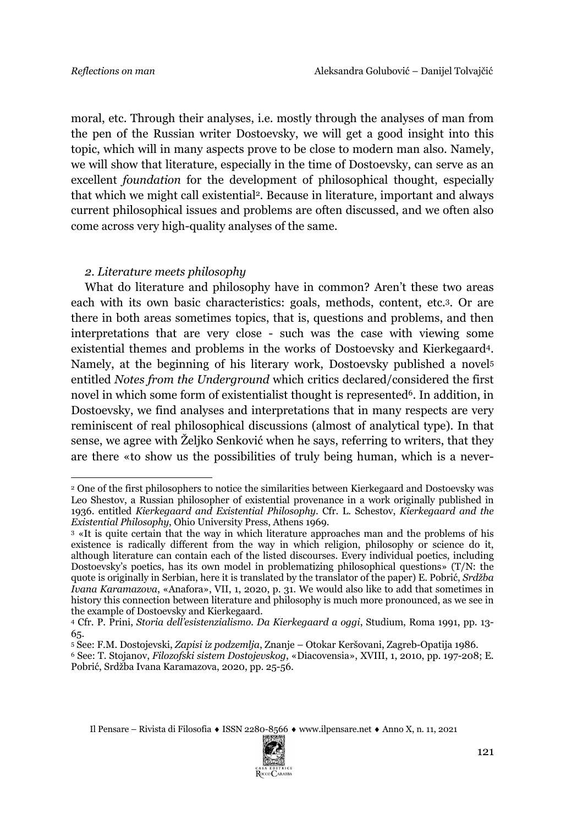moral, etc. Through their analyses, i.e. mostly through the analyses of man from the pen of the Russian writer Dostoevsky, we will get a good insight into this topic, which will in many aspects prove to be close to modern man also. Namely, we will show that literature, especially in the time of Dostoevsky, can serve as an excellent *foundation* for the development of philosophical thought, especially that which we might call existential2. Because in literature, important and always current philosophical issues and problems are often discussed, and we often also come across very high-quality analyses of the same.

## *2. Literature meets philosophy*

What do literature and philosophy have in common? Aren't these two areas each with its own basic characteristics: goals, methods, content, etc.3. Or are there in both areas sometimes topics, that is, questions and problems, and then interpretations that are very close - such was the case with viewing some existential themes and problems in the works of Dostoevsky and Kierkegaard4. Namely, at the beginning of his literary work, Dostoevsky published a novel5 entitled *Notes from the Underground* which critics declared/considered the first novel in which some form of existentialist thought is represented<sup>6</sup>. In addition, in Dostoevsky, we find analyses and interpretations that in many respects are very reminiscent of real philosophical discussions (almost of analytical type). In that sense, we agree with Željko Senković when he says, referring to writers, that they are there «to show us the possibilities of truly being human, which is a never-



<sup>2</sup> One of the first philosophers to notice the similarities between Kierkegaard and Dostoevsky was Leo Shestov, a Russian philosopher of existential provenance in a work originally published in 1936. entitled *Kierkegaard and Existential Philosophy*. Cfr. L. Schestov, *Kierkegaard and the Existential Philosophy*, Ohio University Press, Athens 1969.

<sup>3</sup> «It is quite certain that the way in which literature approaches man and the problems of his existence is radically different from the way in which religion, philosophy or science do it, although literature can contain each of the listed discourses. Every individual poetics, including Dostoevsky's poetics, has its own model in problematizing philosophical questions» (T/N: the quote is originally in Serbian, here it is translated by the translator of the paper) E. Pobrić, *Srdžba Ivana Karamazova*, «Anafora», VII, 1, 2020, p. 31. We would also like to add that sometimes in history this connection between literature and philosophy is much more pronounced, as we see in the example of Dostoevsky and Kierkegaard.

<sup>4</sup> Cfr. P. Prini, *Storia dell'esistenzialismo. Da Kierkegaard a oggi*, Studium, Roma 1991, pp. 13- 65.

<sup>5</sup> See: F.M. Dostojevski, *Zapisi iz podzemlja*, Znanje – Otokar Keršovani, Zagreb-Opatija 1986.

<sup>6</sup> See: T. Stojanov, *Filozofski sistem Dostojevskog*, «Diacovensia», XVIII, 1, 2010, pp. 197-208; E. Pobrić, Srdžba Ivana Karamazova, 2020, pp. 25-56.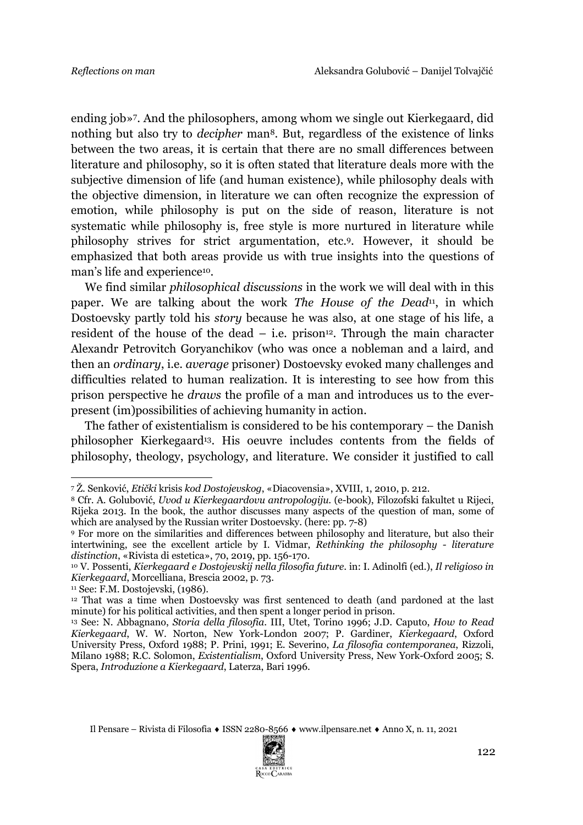ending job»7. And the philosophers, among whom we single out Kierkegaard, did nothing but also try to *decipher* man<sup>8</sup>. But, regardless of the existence of links between the two areas, it is certain that there are no small differences between literature and philosophy, so it is often stated that literature deals more with the subjective dimension of life (and human existence), while philosophy deals with the objective dimension, in literature we can often recognize the expression of emotion, while philosophy is put on the side of reason, literature is not systematic while philosophy is, free style is more nurtured in literature while philosophy strives for strict argumentation, etc.9. However, it should be emphasized that both areas provide us with true insights into the questions of man's life and experience<sup>10</sup>.

We find similar *philosophical discussions* in the work we will deal with in this paper. We are talking about the work *The House of the Dead*<sup>11</sup>, in which Dostoevsky partly told his *story* because he was also, at one stage of his life, a resident of the house of the dead  $-$  i.e. prison<sup>12</sup>. Through the main character Alexandr Petrovitch Goryanchikov (who was once a nobleman and a laird, and then an *ordinary*, i.e. *average* prisoner) Dostoevsky evoked many challenges and difficulties related to human realization. It is interesting to see how from this prison perspective he *draws* the profile of a man and introduces us to the everpresent (im)possibilities of achieving humanity in action.

The father of existentialism is considered to be his contemporary – the Danish philosopher Kierkegaard<sup>13</sup>. His oeuvre includes contents from the fields of philosophy, theology, psychology, and literature. We consider it justified to call



<sup>7</sup> Ž. Senković, *Etički* krisis *kod Dostojevskog*, «Diacovensia», XVIII, 1, 2010, p. 212.

<sup>8</sup> Cfr. A. Golubović, *Uvod u Kierkegaardovu antropologiju*. (e-book), Filozofski fakultet u Rijeci, Rijeka 2013. In the book, the author discusses many aspects of the question of man, some of which are analysed by the Russian writer Dostoevsky. (here: pp. 7-8)

<sup>9</sup> For more on the similarities and differences between philosophy and literature, but also their intertwining, see the excellent article by I. Vidmar, *Rethinking the philosophy - literature distinction*, «Rivista di estetica», 70, 2019, pp. 156-170.

<sup>10</sup> V. Possenti, *Kierkegaard e Dostojevskij nella filosofia future*. in: I. Adinolfi (ed.), *Il religioso in Kierkegaard*, Morcelliana, Brescia 2002, p. 73.

<sup>11</sup> See: F.M. Dostojevski, (1986).

<sup>12</sup> That was a time when Dostoevsky was first sentenced to death (and pardoned at the last minute) for his political activities, and then spent a longer period in prison.

<sup>13</sup> See: N. Abbagnano, *Storia della filosofia*. III, Utet, Torino 1996; J.D. Caputo, *How to Read Kierkegaard*, W. W. Norton, New York-London 2007; P. Gardiner, *Kierkegaard*, Oxford University Press, Oxford 1988; P. Prini, 1991; E. Severino, *La filosofia contemporanea*, Rizzoli, Milano 1988; R.C. Solomon, *Existentialism*, Oxford University Press, New York-Oxford 2005; S. Spera, *Introduzione a Kierkegaard*, Laterza, Bari 1996.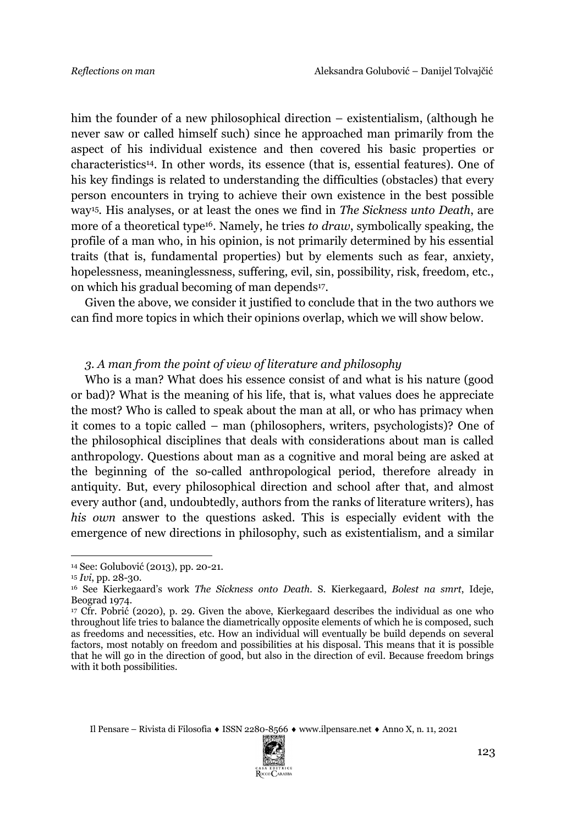him the founder of a new philosophical direction – existentialism, (although he never saw or called himself such) since he approached man primarily from the aspect of his individual existence and then covered his basic properties or characteristics14. In other words, its essence (that is, essential features). One of his key findings is related to understanding the difficulties (obstacles) that every person encounters in trying to achieve their own existence in the best possible way15. His analyses, or at least the ones we find in *The Sickness unto Death*, are more of a theoretical type<sup>16</sup>. Namely, he tries *to draw*, symbolically speaking, the profile of a man who, in his opinion, is not primarily determined by his essential traits (that is, fundamental properties) but by elements such as fear, anxiety, hopelessness, meaninglessness, suffering, evil, sin, possibility, risk, freedom, etc., on which his gradual becoming of man depends17.

Given the above, we consider it justified to conclude that in the two authors we can find more topics in which their opinions overlap, which we will show below.

#### *3. A man from the point of view of literature and philosophy*

Who is a man? What does his essence consist of and what is his nature (good or bad)? What is the meaning of his life, that is, what values does he appreciate the most? Who is called to speak about the man at all, or who has primacy when it comes to a topic called – man (philosophers, writers, psychologists)? One of the philosophical disciplines that deals with considerations about man is called anthropology. Questions about man as a cognitive and moral being are asked at the beginning of the so-called anthropological period, therefore already in antiquity. But, every philosophical direction and school after that, and almost every author (and, undoubtedly, authors from the ranks of literature writers), has *his own* answer to the questions asked. This is especially evident with the emergence of new directions in philosophy, such as existentialism, and a similar



<sup>14</sup> See: Golubović (2013), pp. 20-21.

<sup>15</sup> *Ivi*, pp. 28-30.

<sup>16</sup> See Kierkegaard's work *The Sickness onto Death*. S. Kierkegaard, *Bolest na smrt*, Ideje, Beograd 1974.

<sup>&</sup>lt;sup>17</sup> Cfr. Pobrić (2020), p. 29. Given the above, Kierkegaard describes the individual as one who throughout life tries to balance the diametrically opposite elements of which he is composed, such as freedoms and necessities, etc. How an individual will eventually be build depends on several factors, most notably on freedom and possibilities at his disposal. This means that it is possible that he will go in the direction of good, but also in the direction of evil. Because freedom brings with it both possibilities.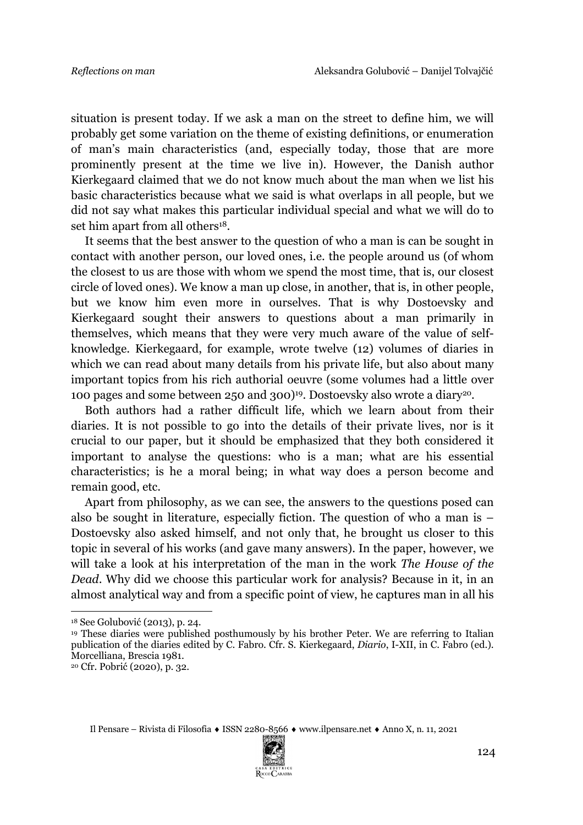situation is present today. If we ask a man on the street to define him, we will probably get some variation on the theme of existing definitions, or enumeration of man's main characteristics (and, especially today, those that are more prominently present at the time we live in). However, the Danish author Kierkegaard claimed that we do not know much about the man when we list his basic characteristics because what we said is what overlaps in all people, but we did not say what makes this particular individual special and what we will do to set him apart from all others<sup>18</sup>.

It seems that the best answer to the question of who a man is can be sought in contact with another person, our loved ones, i.e. the people around us (of whom the closest to us are those with whom we spend the most time, that is, our closest circle of loved ones). We know a man up close, in another, that is, in other people, but we know him even more in ourselves. That is why Dostoevsky and Kierkegaard sought their answers to questions about a man primarily in themselves, which means that they were very much aware of the value of selfknowledge. Kierkegaard, for example, wrote twelve (12) volumes of diaries in which we can read about many details from his private life, but also about many important topics from his rich authorial oeuvre (some volumes had a little over 100 pages and some between 250 and 300)19. Dostoevsky also wrote a diary20.

Both authors had a rather difficult life, which we learn about from their diaries. It is not possible to go into the details of their private lives, nor is it crucial to our paper, but it should be emphasized that they both considered it important to analyse the questions: who is a man; what are his essential characteristics; is he a moral being; in what way does a person become and remain good, etc.

Apart from philosophy, as we can see, the answers to the questions posed can also be sought in literature, especially fiction. The question of who a man is – Dostoevsky also asked himself, and not only that, he brought us closer to this topic in several of his works (and gave many answers). In the paper, however, we will take a look at his interpretation of the man in the work *The House of the Dead*. Why did we choose this particular work for analysis? Because in it, in an almost analytical way and from a specific point of view, he captures man in all his



<sup>18</sup> See Golubović (2013), p. 24.

<sup>19</sup> These diaries were published posthumously by his brother Peter. We are referring to Italian publication of the diaries edited by C. Fabro. Cfr. S. Kierkegaard, *Diario*, I-XII, in C. Fabro (ed.). Morcelliana, Brescia 1981.

<sup>20</sup> Cfr. Pobrić (2020), p. 32.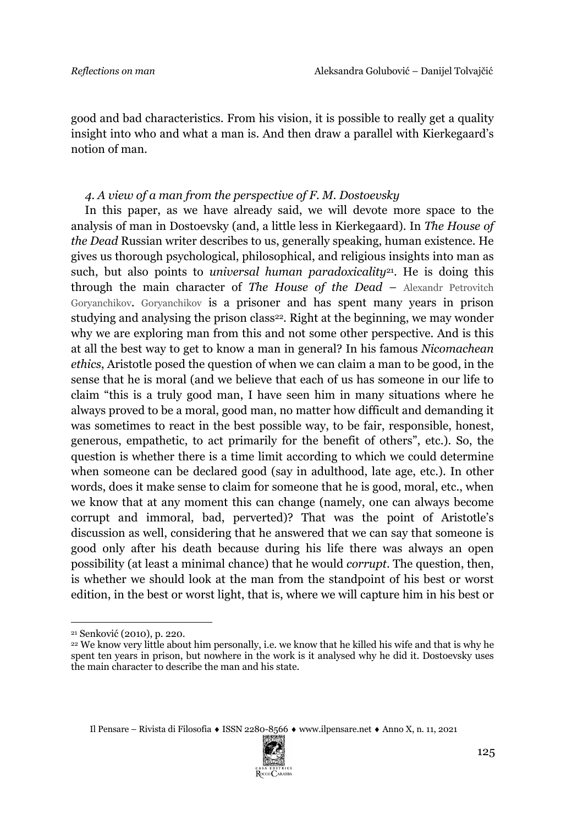good and bad characteristics. From his vision, it is possible to really get a quality insight into who and what a man is. And then draw a parallel with Kierkegaard's notion of man.

#### *4. A view of a man from the perspective of F. M. Dostoevsky*

In this paper, as we have already said, we will devote more space to the analysis of man in Dostoevsky (and, a little less in Kierkegaard). In *The House of the Dead* Russian writer describes to us, generally speaking, human existence. He gives us thorough psychological, philosophical, and religious insights into man as such, but also points to *universal human paradoxicality*<sup>21</sup>. He is doing this through the main character of *The House of the Dead* – Alexandr Petrovitch Goryanchikov. Goryanchikov is a prisoner and has spent many years in prison studying and analysing the prison class<sup>22</sup>. Right at the beginning, we may wonder why we are exploring man from this and not some other perspective. And is this at all the best way to get to know a man in general? In his famous *Nicomachean ethics*, Aristotle posed the question of when we can claim a man to be good, in the sense that he is moral (and we believe that each of us has someone in our life to claim "this is a truly good man, I have seen him in many situations where he always proved to be a moral, good man, no matter how difficult and demanding it was sometimes to react in the best possible way, to be fair, responsible, honest, generous, empathetic, to act primarily for the benefit of others", etc.). So, the question is whether there is a time limit according to which we could determine when someone can be declared good (say in adulthood, late age, etc.). In other words, does it make sense to claim for someone that he is good, moral, etc., when we know that at any moment this can change (namely, one can always become corrupt and immoral, bad, perverted)? That was the point of Aristotle's discussion as well, considering that he answered that we can say that someone is good only after his death because during his life there was always an open possibility (at least a minimal chance) that he would *corrupt*. The question, then, is whether we should look at the man from the standpoint of his best or worst edition, in the best or worst light, that is, where we will capture him in his best or



<sup>21</sup> Senković (2010), p. 220.

<sup>&</sup>lt;sup>22</sup> We know very little about him personally, i.e. we know that he killed his wife and that is why he spent ten years in prison, but nowhere in the work is it analysed why he did it. Dostoevsky uses the main character to describe the man and his state.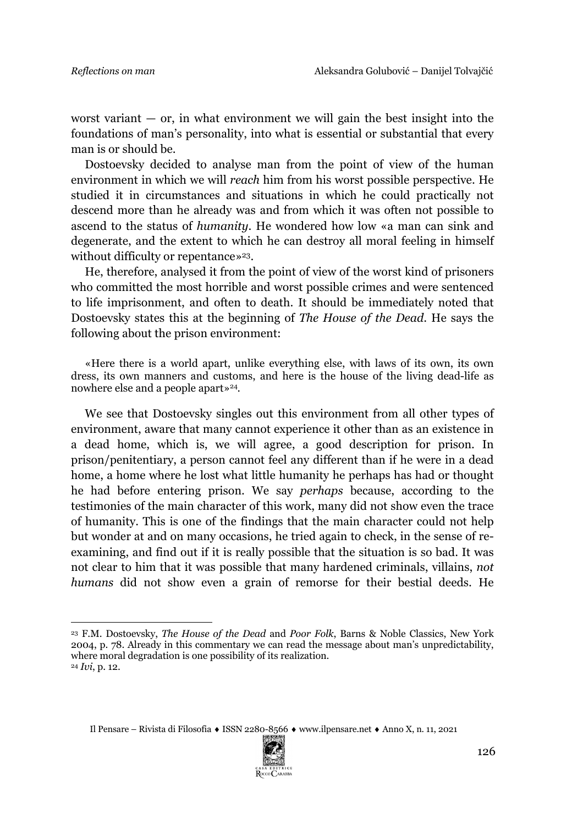worst variant  $-$  or, in what environment we will gain the best insight into the foundations of man's personality, into what is essential or substantial that every man is or should be.

Dostoevsky decided to analyse man from the point of view of the human environment in which we will *reach* him from his worst possible perspective. He studied it in circumstances and situations in which he could practically not descend more than he already was and from which it was often not possible to ascend to the status of *humanity*. He wondered how low «a man can sink and degenerate, and the extent to which he can destroy all moral feeling in himself without difficulty or repentance»<sup>23</sup>.

He, therefore, analysed it from the point of view of the worst kind of prisoners who committed the most horrible and worst possible crimes and were sentenced to life imprisonment, and often to death. It should be immediately noted that Dostoevsky states this at the beginning of *The House of the Dead*. He says the following about the prison environment:

«Here there is a world apart, unlike everything else, with laws of its own, its own dress, its own manners and customs, and here is the house of the living dead-life as nowhere else and a people apart»<sup>24</sup>.

We see that Dostoevsky singles out this environment from all other types of environment, aware that many cannot experience it other than as an existence in a dead home, which is, we will agree, a good description for prison. In prison/penitentiary, a person cannot feel any different than if he were in a dead home, a home where he lost what little humanity he perhaps has had or thought he had before entering prison. We say *perhaps* because, according to the testimonies of the main character of this work, many did not show even the trace of humanity. This is one of the findings that the main character could not help but wonder at and on many occasions, he tried again to check, in the sense of reexamining, and find out if it is really possible that the situation is so bad. It was not clear to him that it was possible that many hardened criminals, villains, *not humans* did not show even a grain of remorse for their bestial deeds. He



<sup>23</sup> F.M. Dostoevsky, *The House of the Dead* and *Poor Folk*, Barns & Noble Classics, New York 2004, p. 78. Already in this commentary we can read the message about man's unpredictability, where moral degradation is one possibility of its realization. <sup>24</sup> *Ivi*, p. 12.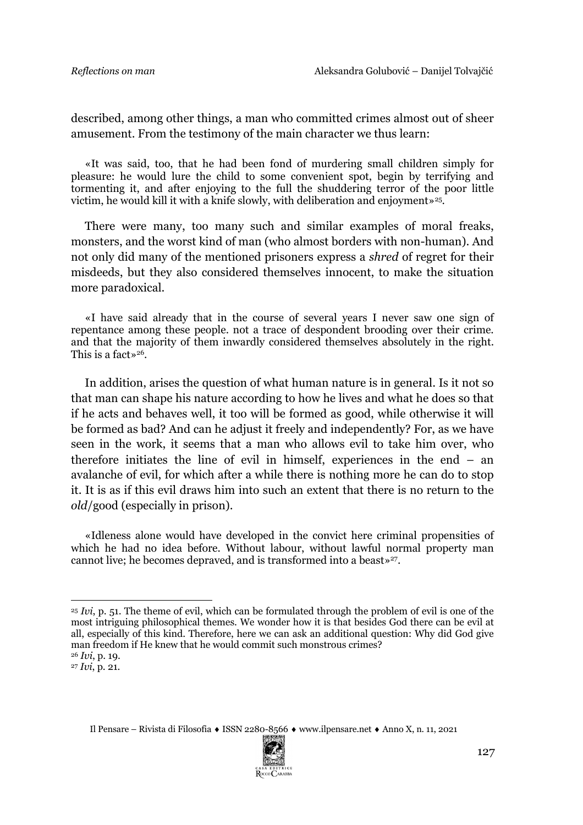described, among other things, a man who committed crimes almost out of sheer amusement. From the testimony of the main character we thus learn:

«It was said, too, that he had been fond of murdering small children simply for pleasure: he would lure the child to some convenient spot, begin by terrifying and tormenting it, and after enjoying to the full the shuddering terror of the poor little victim, he would kill it with a knife slowly, with deliberation and enjoyment»25.

There were many, too many such and similar examples of moral freaks, monsters, and the worst kind of man (who almost borders with non-human). And not only did many of the mentioned prisoners express a *shred* of regret for their misdeeds, but they also considered themselves innocent, to make the situation more paradoxical.

«I have said already that in the course of several years I never saw one sign of repentance among these people. not a trace of despondent brooding over their crime. and that the majority of them inwardly considered themselves absolutely in the right. This is a fact  $*^{26}$ .

In addition, arises the question of what human nature is in general. Is it not so that man can shape his nature according to how he lives and what he does so that if he acts and behaves well, it too will be formed as good, while otherwise it will be formed as bad? And can he adjust it freely and independently? For, as we have seen in the work, it seems that a man who allows evil to take him over, who therefore initiates the line of evil in himself, experiences in the end – an avalanche of evil, for which after a while there is nothing more he can do to stop it. It is as if this evil draws him into such an extent that there is no return to the *old*/good (especially in prison).

«Idleness alone would have developed in the convict here criminal propensities of which he had no idea before. Without labour, without lawful normal property man cannot live; he becomes depraved, and is transformed into a beast»<sup>27</sup>.



<sup>&</sup>lt;sup>25</sup> *Ivi*, p. 51. The theme of evil, which can be formulated through the problem of evil is one of the most intriguing philosophical themes. We wonder how it is that besides God there can be evil at all, especially of this kind. Therefore, here we can ask an additional question: Why did God give man freedom if He knew that he would commit such monstrous crimes?

<sup>26</sup> *Ivi*, p. 19.

<sup>27</sup> *Ivi*, p. 21.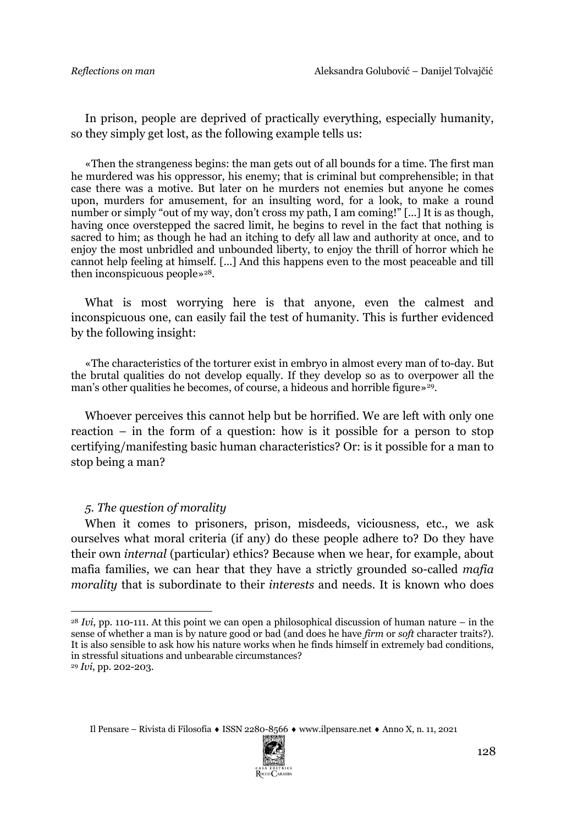In prison, people are deprived of practically everything, especially humanity, so they simply get lost, as the following example tells us:

«Then the strangeness begins: the man gets out of all bounds for a time. The first man he murdered was his oppressor, his enemy; that is criminal but comprehensible; in that case there was a motive. But later on he murders not enemies but anyone he comes upon, murders for amusement, for an insulting word, for a look, to make a round number or simply "out of my way, don't cross my path, I am coming!" [...] It is as though, having once overstepped the sacred limit, he begins to revel in the fact that nothing is sacred to him; as though he had an itching to defy all law and authority at once, and to enjoy the most unbridled and unbounded liberty, to enjoy the thrill of horror which he cannot help feeling at himself. [...] And this happens even to the most peaceable and till then inconspicuous people»<sup>28</sup>.

What is most worrying here is that anyone, even the calmest and inconspicuous one, can easily fail the test of humanity. This is further evidenced by the following insight:

«The characteristics of the torturer exist in embryo in almost every man of to-day. But the brutal qualities do not develop equally. If they develop so as to overpower all the man's other qualities he becomes, of course, a hideous and horrible figure  $\frac{1}{2}$ .

Whoever perceives this cannot help but be horrified. We are left with only one reaction – in the form of a question: how is it possible for a person to stop certifying/manifesting basic human characteristics? Or: is it possible for a man to stop being a man?

#### *5. The question of morality*

When it comes to prisoners, prison, misdeeds, viciousness, etc., we ask ourselves what moral criteria (if any) do these people adhere to? Do they have their own *internal* (particular) ethics? Because when we hear, for example, about mafia families, we can hear that they have a strictly grounded so-called *mafia morality* that is subordinate to their *interests* and needs. It is known who does



<sup>28</sup> *Ivi*, pp. 110-111. At this point we can open a philosophical discussion of human nature – in the sense of whether a man is by nature good or bad (and does he have *firm* or *soft* character traits?). It is also sensible to ask how his nature works when he finds himself in extremely bad conditions, in stressful situations and unbearable circumstances?

<sup>29</sup> *Ivi*, pp. 202-203.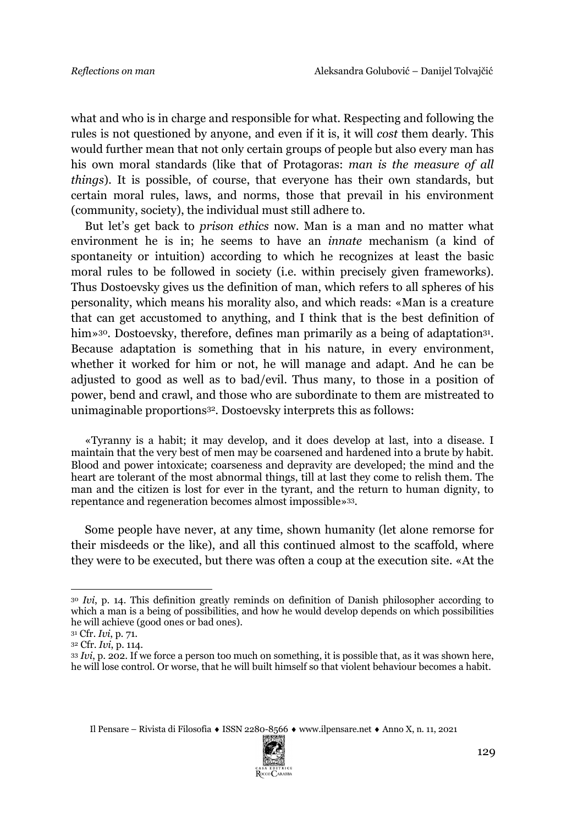what and who is in charge and responsible for what. Respecting and following the rules is not questioned by anyone, and even if it is, it will *cost* them dearly. This would further mean that not only certain groups of people but also every man has his own moral standards (like that of Protagoras: *man is the measure of all things*). It is possible, of course, that everyone has their own standards, but certain moral rules, laws, and norms, those that prevail in his environment (community, society), the individual must still adhere to.

But let's get back to *prison ethics* now. Man is a man and no matter what environment he is in; he seems to have an *innate* mechanism (a kind of spontaneity or intuition) according to which he recognizes at least the basic moral rules to be followed in society (i.e. within precisely given frameworks). Thus Dostoevsky gives us the definition of man, which refers to all spheres of his personality, which means his morality also, and which reads: «Man is a creature that can get accustomed to anything, and I think that is the best definition of him»<sup>30</sup>. Dostoevsky, therefore, defines man primarily as a being of adaptation<sup>31</sup>. Because adaptation is something that in his nature, in every environment, whether it worked for him or not, he will manage and adapt. And he can be adjusted to good as well as to bad/evil. Thus many, to those in a position of power, bend and crawl, and those who are subordinate to them are mistreated to unimaginable proportions32. Dostoevsky interprets this as follows:

«Tyranny is a habit; it may develop, and it does develop at last, into a disease. I maintain that the very best of men may be coarsened and hardened into a brute by habit. Blood and power intoxicate; coarseness and depravity are developed; the mind and the heart are tolerant of the most abnormal things, till at last they come to relish them. The man and the citizen is lost for ever in the tyrant, and the return to human dignity, to repentance and regeneration becomes almost impossible»33.

Some people have never, at any time, shown humanity (let alone remorse for their misdeeds or the like), and all this continued almost to the scaffold, where they were to be executed, but there was often a coup at the execution site. «At the



<sup>30</sup> *Ivi*, p. 14. This definition greatly reminds on definition of Danish philosopher according to which a man is a being of possibilities, and how he would develop depends on which possibilities he will achieve (good ones or bad ones).

<sup>31</sup> Cfr. *Ivi*, p. 71.

<sup>32</sup> Cfr. *Ivi*, p. 114.

<sup>33</sup> *Ivi*, p. 202. If we force a person too much on something, it is possible that, as it was shown here, he will lose control. Or worse, that he will built himself so that violent behaviour becomes a habit.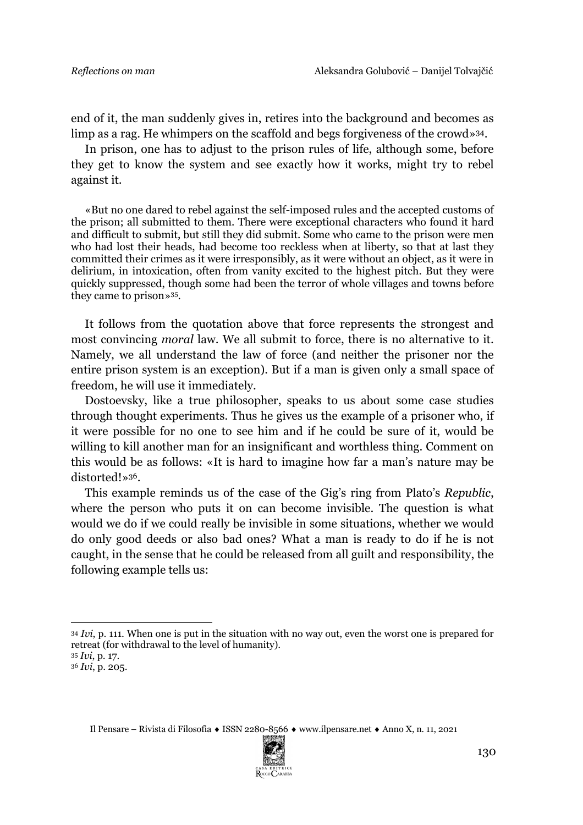end of it, the man suddenly gives in, retires into the background and becomes as limp as a rag. He whimpers on the scaffold and begs forgiveness of the crowd»34.

In prison, one has to adjust to the prison rules of life, although some, before they get to know the system and see exactly how it works, might try to rebel against it.

«But no one dared to rebel against the self-imposed rules and the accepted customs of the prison; all submitted to them. There were exceptional characters who found it hard and difficult to submit, but still they did submit. Some who came to the prison were men who had lost their heads, had become too reckless when at liberty, so that at last they committed their crimes as it were irresponsibly, as it were without an object, as it were in delirium, in intoxication, often from vanity excited to the highest pitch. But they were quickly suppressed, though some had been the terror of whole villages and towns before they came to prison»35.

It follows from the quotation above that force represents the strongest and most convincing *moral* law. We all submit to force, there is no alternative to it. Namely, we all understand the law of force (and neither the prisoner nor the entire prison system is an exception). But if a man is given only a small space of freedom, he will use it immediately.

Dostoevsky, like a true philosopher, speaks to us about some case studies through thought experiments. Thus he gives us the example of a prisoner who, if it were possible for no one to see him and if he could be sure of it, would be willing to kill another man for an insignificant and worthless thing. Comment on this would be as follows: «It is hard to imagine how far a man's nature may be distorted!»36.

This example reminds us of the case of the Gig's ring from Plato's *Republic*, where the person who puts it on can become invisible. The question is what would we do if we could really be invisible in some situations, whether we would do only good deeds or also bad ones? What a man is ready to do if he is not caught, in the sense that he could be released from all guilt and responsibility, the following example tells us:



<sup>34</sup> *Ivi*, p. 111. When one is put in the situation with no way out, even the worst one is prepared for retreat (for withdrawal to the level of humanity).

<sup>35</sup> *Ivi*, p. 17.

<sup>36</sup> *Ivi*, p. 205.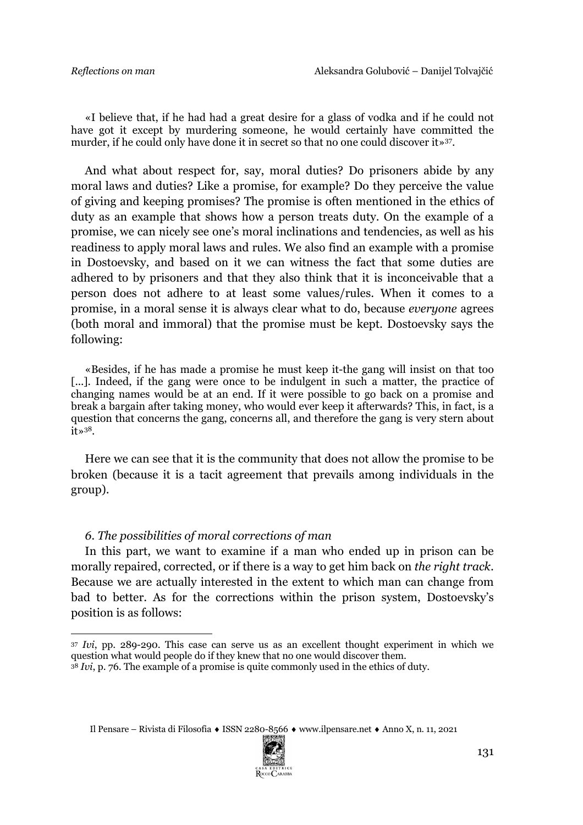«I believe that, if he had had a great desire for a glass of vodka and if he could not have got it except by murdering someone, he would certainly have committed the murder, if he could only have done it in secret so that no one could discover it»37.

And what about respect for, say, moral duties? Do prisoners abide by any moral laws and duties? Like a promise, for example? Do they perceive the value of giving and keeping promises? The promise is often mentioned in the ethics of duty as an example that shows how a person treats duty. On the example of a promise, we can nicely see one's moral inclinations and tendencies, as well as his readiness to apply moral laws and rules. We also find an example with a promise in Dostoevsky, and based on it we can witness the fact that some duties are adhered to by prisoners and that they also think that it is inconceivable that a person does not adhere to at least some values/rules. When it comes to a promise, in a moral sense it is always clear what to do, because *everyone* agrees (both moral and immoral) that the promise must be kept. Dostoevsky says the following:

«Besides, if he has made a promise he must keep it-the gang will insist on that too [...]. Indeed, if the gang were once to be indulgent in such a matter, the practice of changing names would be at an end. If it were possible to go back on a promise and break a bargain after taking money, who would ever keep it afterwards? This, in fact, is a question that concerns the gang, concerns all, and therefore the gang is very stern about it»38.

Here we can see that it is the community that does not allow the promise to be broken (because it is a tacit agreement that prevails among individuals in the group).

### *6. The possibilities of moral corrections of man*

In this part, we want to examine if a man who ended up in prison can be morally repaired, corrected, or if there is a way to get him back on *the right track*. Because we are actually interested in the extent to which man can change from bad to better. As for the corrections within the prison system, Dostoevsky's position is as follows:



<sup>37</sup> *Ivi*, pp. 289-290. This case can serve us as an excellent thought experiment in which we question what would people do if they knew that no one would discover them.

<sup>38</sup> *Ivi*, p. 76. The example of a promise is quite commonly used in the ethics of duty.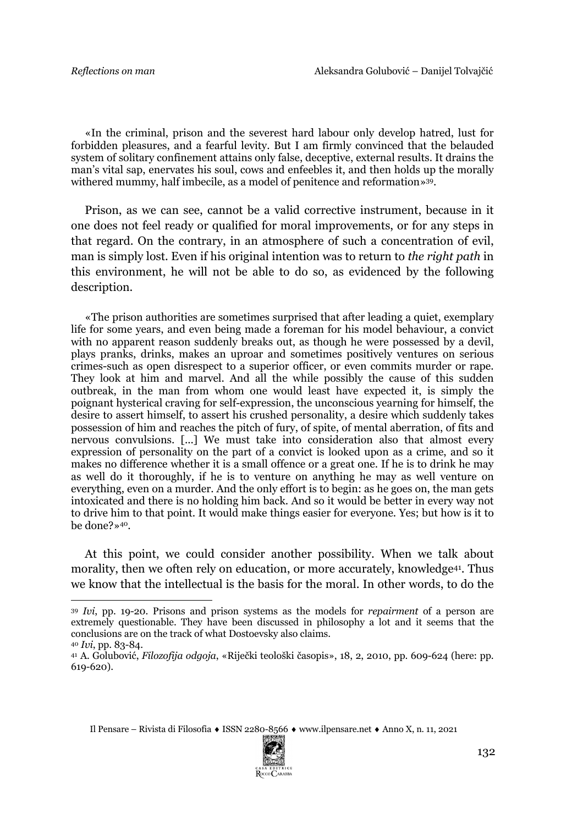«In the criminal, prison and the severest hard labour only develop hatred, lust for forbidden pleasures, and a fearful levity. But I am firmly convinced that the belauded system of solitary confinement attains only false, deceptive, external results. It drains the man's vital sap, enervates his soul, cows and enfeebles it, and then holds up the morally withered mummy, half imbecile, as a model of penitence and reformation»39.

Prison, as we can see, cannot be a valid corrective instrument, because in it one does not feel ready or qualified for moral improvements, or for any steps in that regard. On the contrary, in an atmosphere of such a concentration of evil, man is simply lost. Even if his original intention was to return to *the right path* in this environment, he will not be able to do so, as evidenced by the following description.

«The prison authorities are sometimes surprised that after leading a quiet, exemplary life for some years, and even being made a foreman for his model behaviour, a convict with no apparent reason suddenly breaks out, as though he were possessed by a devil, plays pranks, drinks, makes an uproar and sometimes positively ventures on serious crimes-such as open disrespect to a superior officer, or even commits murder or rape. They look at him and marvel. And all the while possibly the cause of this sudden outbreak, in the man from whom one would least have expected it, is simply the poignant hysterical craving for self-expression, the unconscious yearning for himself, the desire to assert himself, to assert his crushed personality, a desire which suddenly takes possession of him and reaches the pitch of fury, of spite, of mental aberration, of fits and nervous convulsions. [...] We must take into consideration also that almost every expression of personality on the part of a convict is looked upon as a crime, and so it makes no difference whether it is a small offence or a great one. If he is to drink he may as well do it thoroughly, if he is to venture on anything he may as well venture on everything, even on a murder. And the only effort is to begin: as he goes on, the man gets intoxicated and there is no holding him back. And so it would be better in every way not to drive him to that point. It would make things easier for everyone. Yes; but how is it to be done?»40.

At this point, we could consider another possibility. When we talk about morality, then we often rely on education, or more accurately, knowledge<sup>41</sup>. Thus we know that the intellectual is the basis for the moral. In other words, to do the



<sup>39</sup> *Ivi*, pp. 19-20. Prisons and prison systems as the models for *repairment* of a person are extremely questionable. They have been discussed in philosophy a lot and it seems that the conclusions are on the track of what Dostoevsky also claims. <sup>40</sup> *Ivi*, pp. 83-84.

<sup>41</sup> A. Golubović, *Filozofija odgoja*, «Riječki teološki časopis», 18, 2, 2010, pp. 609-624 (here: pp. 619-620).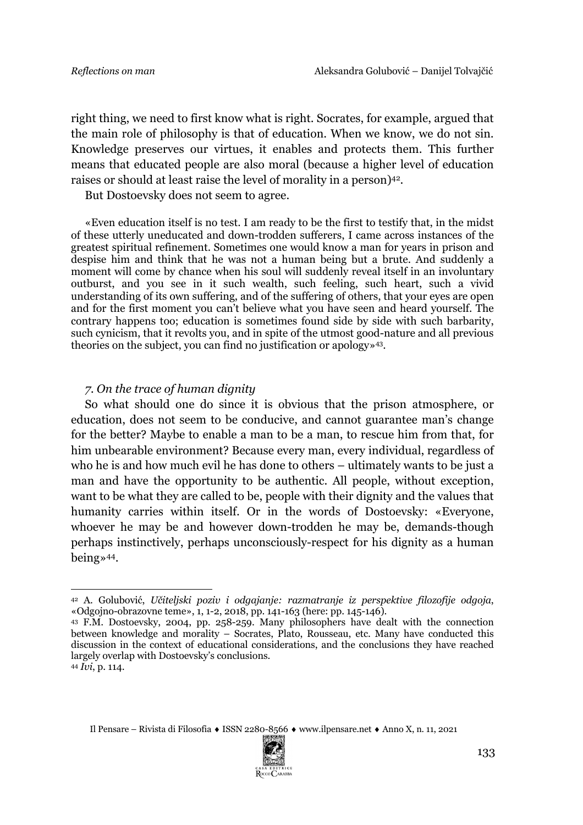right thing, we need to first know what is right. Socrates, for example, argued that the main role of philosophy is that of education. When we know, we do not sin. Knowledge preserves our virtues, it enables and protects them. This further means that educated people are also moral (because a higher level of education raises or should at least raise the level of morality in a person)42.

But Dostoevsky does not seem to agree.

«Even education itself is no test. I am ready to be the first to testify that, in the midst of these utterly uneducated and down-trodden sufferers, I came across instances of the greatest spiritual refinement. Sometimes one would know a man for years in prison and despise him and think that he was not a human being but a brute. And suddenly a moment will come by chance when his soul will suddenly reveal itself in an involuntary outburst, and you see in it such wealth, such feeling, such heart, such a vivid understanding of its own suffering, and of the suffering of others, that your eyes are open and for the first moment you can't believe what you have seen and heard yourself. The contrary happens too; education is sometimes found side by side with such barbarity, such cynicism, that it revolts you, and in spite of the utmost good-nature and all previous theories on the subject, you can find no justification or apology»43.

#### *7. On the trace of human dignity*

So what should one do since it is obvious that the prison atmosphere, or education, does not seem to be conducive, and cannot guarantee man's change for the better? Maybe to enable a man to be a man, to rescue him from that, for him unbearable environment? Because every man, every individual, regardless of who he is and how much evil he has done to others – ultimately wants to be just a man and have the opportunity to be authentic. All people, without exception, want to be what they are called to be, people with their dignity and the values that humanity carries within itself. Or in the words of Dostoevsky: «Everyone, whoever he may be and however down-trodden he may be, demands-though perhaps instinctively, perhaps unconsciously-respect for his dignity as a human being»44.



<sup>42</sup> A. Golubović, *Učiteljski poziv i odgajanje: razmatranje iz perspektive filozofije odgoja*, «Odgojno-obrazovne teme», 1, 1-2, 2018, pp. 141-163 (here: pp. 145-146).

<sup>43</sup> F.M. Dostoevsky, 2004, pp. 258-259. Many philosophers have dealt with the connection between knowledge and morality – Socrates, Plato, Rousseau, etc. Many have conducted this discussion in the context of educational considerations, and the conclusions they have reached largely overlap with Dostoevsky's conclusions.

<sup>44</sup> *Ivi*, p. 114.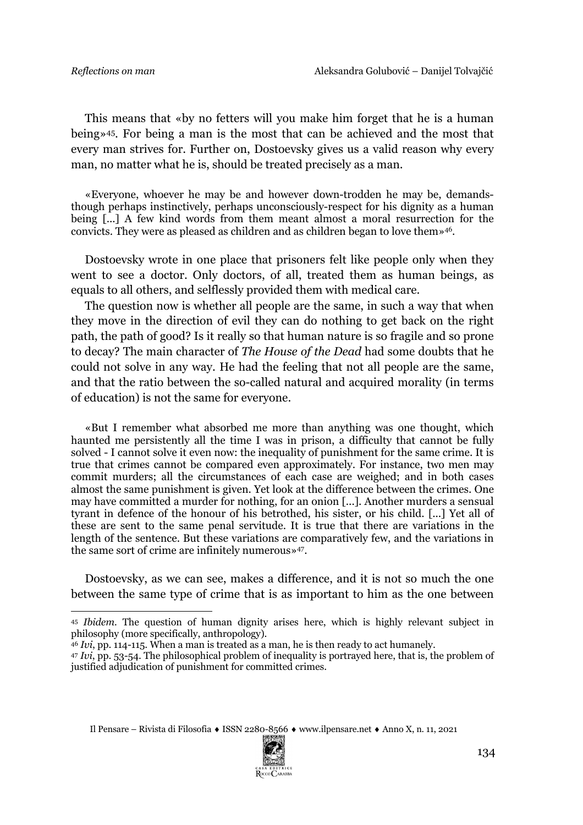This means that «by no fetters will you make him forget that he is a human being»45. For being a man is the most that can be achieved and the most that every man strives for. Further on, Dostoevsky gives us a valid reason why every man, no matter what he is, should be treated precisely as a man.

«Everyone, whoever he may be and however down-trodden he may be, demandsthough perhaps instinctively, perhaps unconsciously-respect for his dignity as a human being [...] A few kind words from them meant almost a moral resurrection for the convicts. They were as pleased as children and as children began to love them»46.

Dostoevsky wrote in one place that prisoners felt like people only when they went to see a doctor. Only doctors, of all, treated them as human beings, as equals to all others, and selflessly provided them with medical care.

The question now is whether all people are the same, in such a way that when they move in the direction of evil they can do nothing to get back on the right path, the path of good? Is it really so that human nature is so fragile and so prone to decay? The main character of *The House of the Dead* had some doubts that he could not solve in any way. He had the feeling that not all people are the same, and that the ratio between the so-called natural and acquired morality (in terms of education) is not the same for everyone.

«But I remember what absorbed me more than anything was one thought, which haunted me persistently all the time I was in prison, a difficulty that cannot be fully solved - I cannot solve it even now: the inequality of punishment for the same crime. It is true that crimes cannot be compared even approximately. For instance, two men may commit murders; all the circumstances of each case are weighed; and in both cases almost the same punishment is given. Yet look at the difference between the crimes. One may have committed a murder for nothing, for an onion [...]. Another murders a sensual tyrant in defence of the honour of his betrothed, his sister, or his child. [...] Yet all of these are sent to the same penal servitude. It is true that there are variations in the length of the sentence. But these variations are comparatively few, and the variations in the same sort of crime are infinitely numerous»47.

Dostoevsky, as we can see, makes a difference, and it is not so much the one between the same type of crime that is as important to him as the one between



<sup>45</sup> *Ibidem.* The question of human dignity arises here, which is highly relevant subject in philosophy (more specifically, anthropology).

<sup>46</sup> *Ivi*, pp. 114-115. When a man is treated as a man, he is then ready to act humanely.

<sup>47</sup> *Ivi*, pp. 53-54. The philosophical problem of inequality is portrayed here, that is, the problem of justified adjudication of punishment for committed crimes.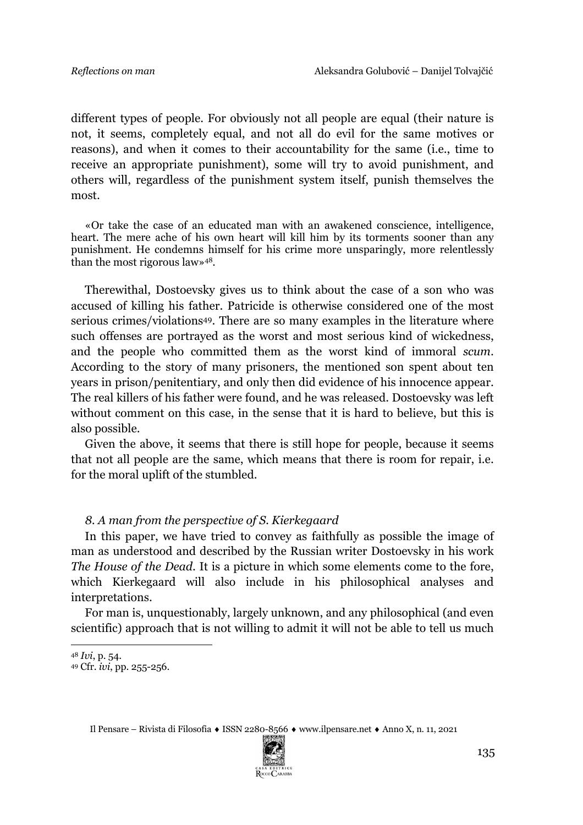different types of people. For obviously not all people are equal (their nature is not, it seems, completely equal, and not all do evil for the same motives or reasons), and when it comes to their accountability for the same (i.e., time to receive an appropriate punishment), some will try to avoid punishment, and others will, regardless of the punishment system itself, punish themselves the most.

«Or take the case of an educated man with an awakened conscience, intelligence, heart. The mere ache of his own heart will kill him by its torments sooner than any punishment. He condemns himself for his crime more unsparingly, more relentlessly than the most rigorous law»48.

Therewithal, Dostoevsky gives us to think about the case of a son who was accused of killing his father. Patricide is otherwise considered one of the most serious crimes/violations<sup>49</sup>. There are so many examples in the literature where such offenses are portrayed as the worst and most serious kind of wickedness, and the people who committed them as the worst kind of immoral *scum*. According to the story of many prisoners, the mentioned son spent about ten years in prison/penitentiary, and only then did evidence of his innocence appear. The real killers of his father were found, and he was released. Dostoevsky was left without comment on this case, in the sense that it is hard to believe, but this is also possible.

Given the above, it seems that there is still hope for people, because it seems that not all people are the same, which means that there is room for repair, i.e. for the moral uplift of the stumbled.

### *8. A man from the perspective of S. Kierkegaard*

In this paper, we have tried to convey as faithfully as possible the image of man as understood and described by the Russian writer Dostoevsky in his work *The House of the Dead*. It is a picture in which some elements come to the fore, which Kierkegaard will also include in his philosophical analyses and interpretations.

For man is, unquestionably, largely unknown, and any philosophical (and even scientific) approach that is not willing to admit it will not be able to tell us much



<sup>48</sup> *Ivi*, p. 54.

<sup>49</sup> Cfr. *ivi*, pp. 255-256.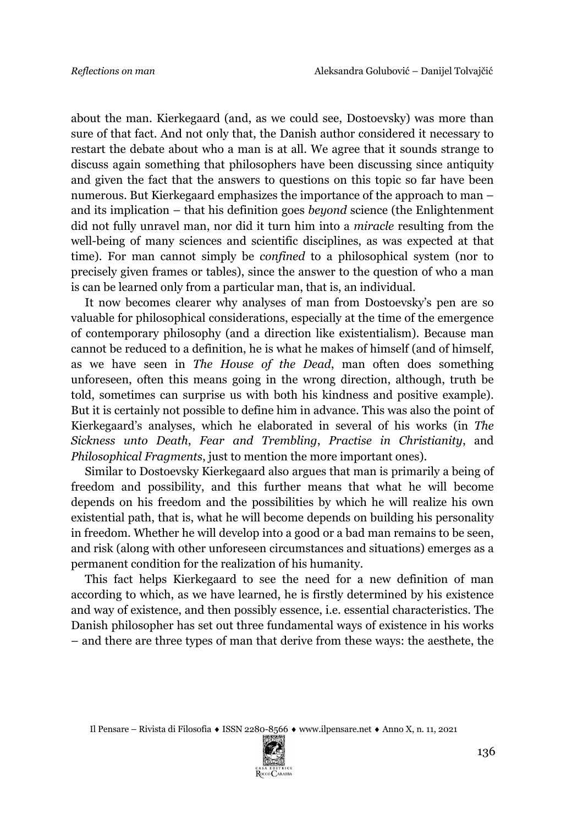about the man. Kierkegaard (and, as we could see, Dostoevsky) was more than sure of that fact. And not only that, the Danish author considered it necessary to restart the debate about who a man is at all. We agree that it sounds strange to discuss again something that philosophers have been discussing since antiquity and given the fact that the answers to questions on this topic so far have been numerous. But Kierkegaard emphasizes the importance of the approach to man – and its implication – that his definition goes *beyond* science (the Enlightenment did not fully unravel man, nor did it turn him into a *miracle* resulting from the well-being of many sciences and scientific disciplines, as was expected at that time). For man cannot simply be *confined* to a philosophical system (nor to precisely given frames or tables), since the answer to the question of who a man is can be learned only from a particular man, that is, an individual.

It now becomes clearer why analyses of man from Dostoevsky's pen are so valuable for philosophical considerations, especially at the time of the emergence of contemporary philosophy (and a direction like existentialism). Because man cannot be reduced to a definition, he is what he makes of himself (and of himself, as we have seen in *The House of the Dead*, man often does something unforeseen, often this means going in the wrong direction, although, truth be told, sometimes can surprise us with both his kindness and positive example). But it is certainly not possible to define him in advance. This was also the point of Kierkegaard's analyses, which he elaborated in several of his works (in *The Sickness unto Death*, *Fear and Trembling*, *Practise in Christianity*, and *Philosophical Fragments*, just to mention the more important ones).

Similar to Dostoevsky Kierkegaard also argues that man is primarily a being of freedom and possibility, and this further means that what he will become depends on his freedom and the possibilities by which he will realize his own existential path, that is, what he will become depends on building his personality in freedom. Whether he will develop into a good or a bad man remains to be seen, and risk (along with other unforeseen circumstances and situations) emerges as a permanent condition for the realization of his humanity.

This fact helps Kierkegaard to see the need for a new definition of man according to which, as we have learned, he is firstly determined by his existence and way of existence, and then possibly essence, i.e. essential characteristics. The Danish philosopher has set out three fundamental ways of existence in his works – and there are three types of man that derive from these ways: the aesthete, the

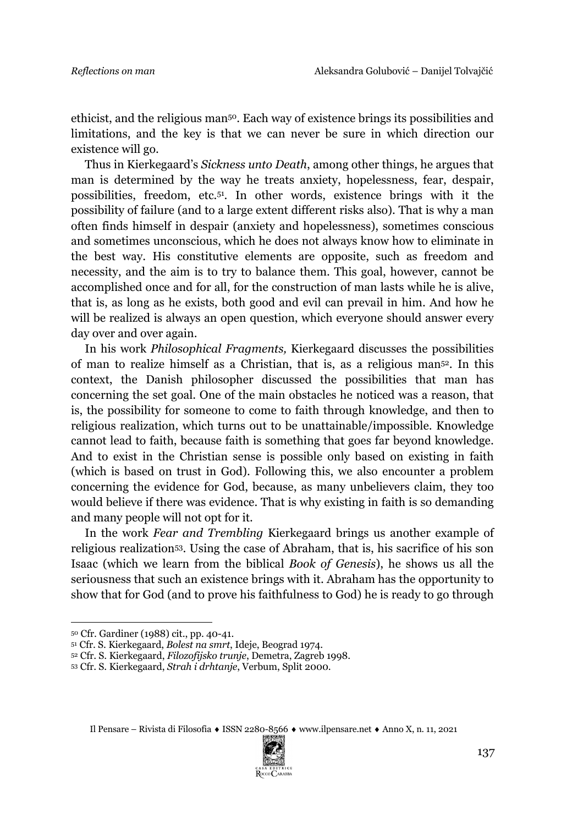ethicist, and the religious man50. Each way of existence brings its possibilities and limitations, and the key is that we can never be sure in which direction our existence will go.

Thus in Kierkegaard's *Sickness unto Death*, among other things, he argues that man is determined by the way he treats anxiety, hopelessness, fear, despair, possibilities, freedom, etc.51. In other words, existence brings with it the possibility of failure (and to a large extent different risks also). That is why a man often finds himself in despair (anxiety and hopelessness), sometimes conscious and sometimes unconscious, which he does not always know how to eliminate in the best way. His constitutive elements are opposite, such as freedom and necessity, and the aim is to try to balance them. This goal, however, cannot be accomplished once and for all, for the construction of man lasts while he is alive, that is, as long as he exists, both good and evil can prevail in him. And how he will be realized is always an open question, which everyone should answer every day over and over again.

In his work *Philosophical Fragments,* Kierkegaard discusses the possibilities of man to realize himself as a Christian, that is, as a religious man52. In this context, the Danish philosopher discussed the possibilities that man has concerning the set goal. One of the main obstacles he noticed was a reason, that is, the possibility for someone to come to faith through knowledge, and then to religious realization, which turns out to be unattainable/impossible. Knowledge cannot lead to faith, because faith is something that goes far beyond knowledge. And to exist in the Christian sense is possible only based on existing in faith (which is based on trust in God). Following this, we also encounter a problem concerning the evidence for God, because, as many unbelievers claim, they too would believe if there was evidence. That is why existing in faith is so demanding and many people will not opt for it.

In the work *Fear and Trembling* Kierkegaard brings us another example of religious realization53. Using the case of Abraham, that is, his sacrifice of his son Isaac (which we learn from the biblical *Book of Genesis*), he shows us all the seriousness that such an existence brings with it. Abraham has the opportunity to show that for God (and to prove his faithfulness to God) he is ready to go through



<sup>50</sup> Cfr. Gardiner (1988) cit., pp. 40-41.

<sup>51</sup> Cfr. S. Kierkegaard, *Bolest na smrt*, Ideje, Beograd 1974.

<sup>52</sup> Cfr. S. Kierkegaard, *Filozofijsko trunje*, Demetra, Zagreb 1998.

<sup>53</sup> Cfr. S. Kierkegaard, *Strah i drhtanje*, Verbum, Split 2000.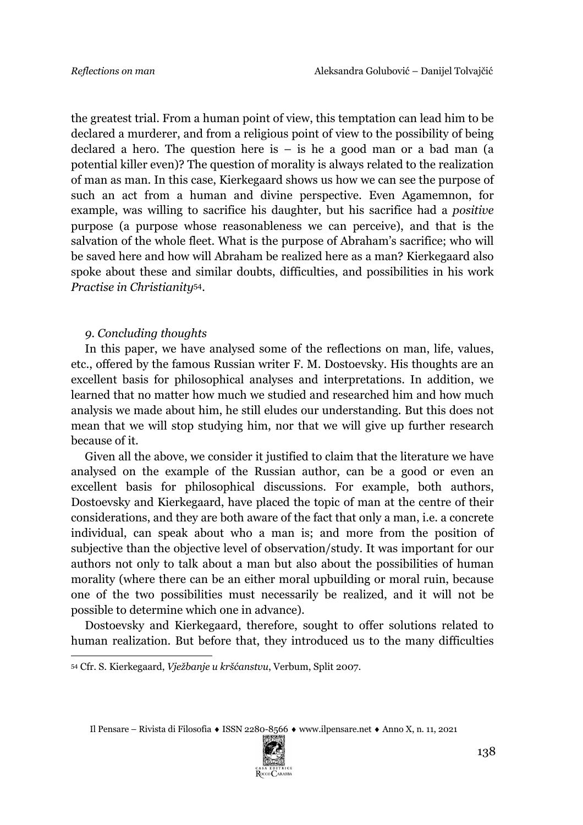the greatest trial. From a human point of view, this temptation can lead him to be declared a murderer, and from a religious point of view to the possibility of being declared a hero. The question here is – is he a good man or a bad man (a potential killer even)? The question of morality is always related to the realization of man as man. In this case, Kierkegaard shows us how we can see the purpose of such an act from a human and divine perspective. Even Agamemnon, for example, was willing to sacrifice his daughter, but his sacrifice had a *positive* purpose (a purpose whose reasonableness we can perceive), and that is the salvation of the whole fleet. What is the purpose of Abraham's sacrifice; who will be saved here and how will Abraham be realized here as a man? Kierkegaard also spoke about these and similar doubts, difficulties, and possibilities in his work *Practise in Christianity*54*.*

#### *9. Concluding thoughts*

In this paper, we have analysed some of the reflections on man, life, values, etc., offered by the famous Russian writer F. M. Dostoevsky. His thoughts are an excellent basis for philosophical analyses and interpretations. In addition, we learned that no matter how much we studied and researched him and how much analysis we made about him, he still eludes our understanding. But this does not mean that we will stop studying him, nor that we will give up further research because of it.

Given all the above, we consider it justified to claim that the literature we have analysed on the example of the Russian author, can be a good or even an excellent basis for philosophical discussions. For example, both authors, Dostoevsky and Kierkegaard, have placed the topic of man at the centre of their considerations, and they are both aware of the fact that only a man, i.e. a concrete individual, can speak about who a man is; and more from the position of subjective than the objective level of observation/study. It was important for our authors not only to talk about a man but also about the possibilities of human morality (where there can be an either moral upbuilding or moral ruin, because one of the two possibilities must necessarily be realized, and it will not be possible to determine which one in advance).

Dostoevsky and Kierkegaard, therefore, sought to offer solutions related to human realization. But before that, they introduced us to the many difficulties



<sup>54</sup> Cfr. S. Kierkegaard, *Vježbanje u kršćanstvu*, Verbum, Split 2007.